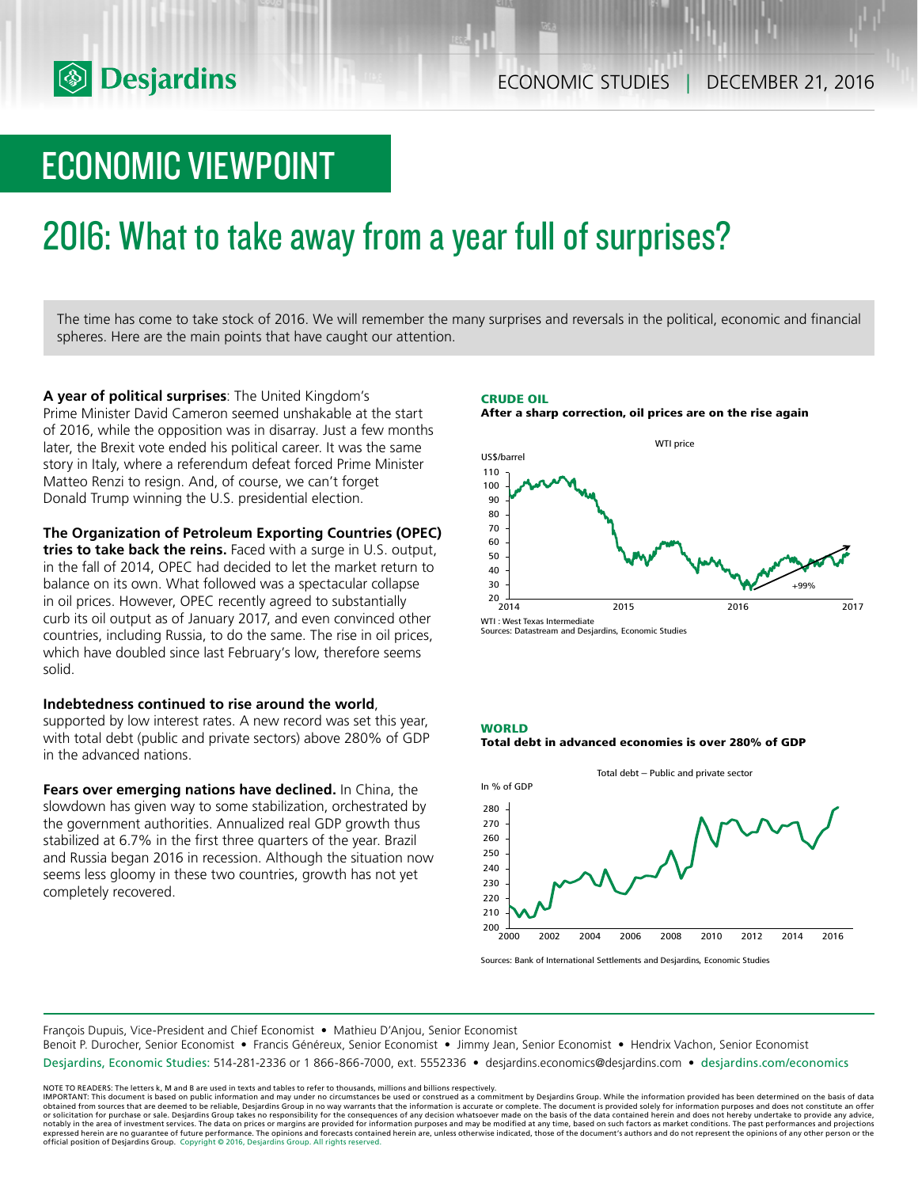# ECONOMIC VIEWPOINT

# 2016: What to take away from a year full of surprises?

The time has come to take stock of 2016. We will remember the many surprises and reversals in the political, economic and financial spheres. Here are the main points that have caught our attention.

**A year of political surprises**: The United Kingdom's Prime Minister David Cameron seemed unshakable at the start of 2016, while the opposition was in disarray. Just a few months later, the Brexit vote ended his political career. It was the same story in Italy, where a referendum defeat forced Prime Minister Matteo Renzi to resign. And, of course, we can't forget Donald Trump winning the U.S. presidential election.

**The Organization of Petroleum Exporting Countries (OPEC)** 

**tries to take back the reins.** Faced with a surge in U.S. output, in the fall of 2014, OPEC had decided to let the market return to balance on its own. What followed was a spectacular collapse in oil prices. However, OPEC recently agreed to substantially curb its oil output as of January 2017, and even convinced other countries, including Russia, to do the same. The rise in oil prices, which have doubled since last February's low, therefore seems solid.

## **Indebtedness continued to rise around the world**,

supported by low interest rates. A new record was set this year, with total debt (public and private sectors) above 280% of GDP in the advanced nations.

**Fears over emerging nations have declined.** In China, the slowdown has given way to some stabilization, orchestrated by the government authorities. Annualized real GDP growth thus stabilized at 6.7% in the first three quarters of the year. Brazil and Russia began 2016 in recession. Although the situation now seems less gloomy in these two countries, growth has not yet completely recovered.





Sources: Datastream and Desjardins, Economic Studies

#### **WORLD**





Sources: Bank of International Settlements and Desjardins, Economic Studies

François Dupuis, Vice-President and Chief Economist • Mathieu D'Anjou, Senior Economist

Benoit P. Durocher, Senior Economist • Francis Généreux, Senior Economist • Jimmy Jean, Senior Economist • Hendrix Vachon, Senior Economist

Desjardins, Economic Studies: 514-281-2336 or 1 866-866-7000, ext. 5552336 • desjardins.economics@desjardins.com • desjardins.com/economics

NOTE TO READERS: The letters k, M and B are used in texts and tables to refer to thousands, millions and billions respectively.<br>IMPORTANT: This document is based on public information and may under no circumstances be used obtained from sources that are deemed to be reliable, Desjardins Group in no way warrants that the information is accurate or complete. The document is provided solely for information purposes and does not constitute an of expressed herein are no guarantee of future performance. The opinions and forecasts contained herein are, unless otherwise indicated, those of the document's authors and do not represent the opinions of any other person or official position of Desjardins Group. Copyright © 2016, Desjardins Group. All rights reserved.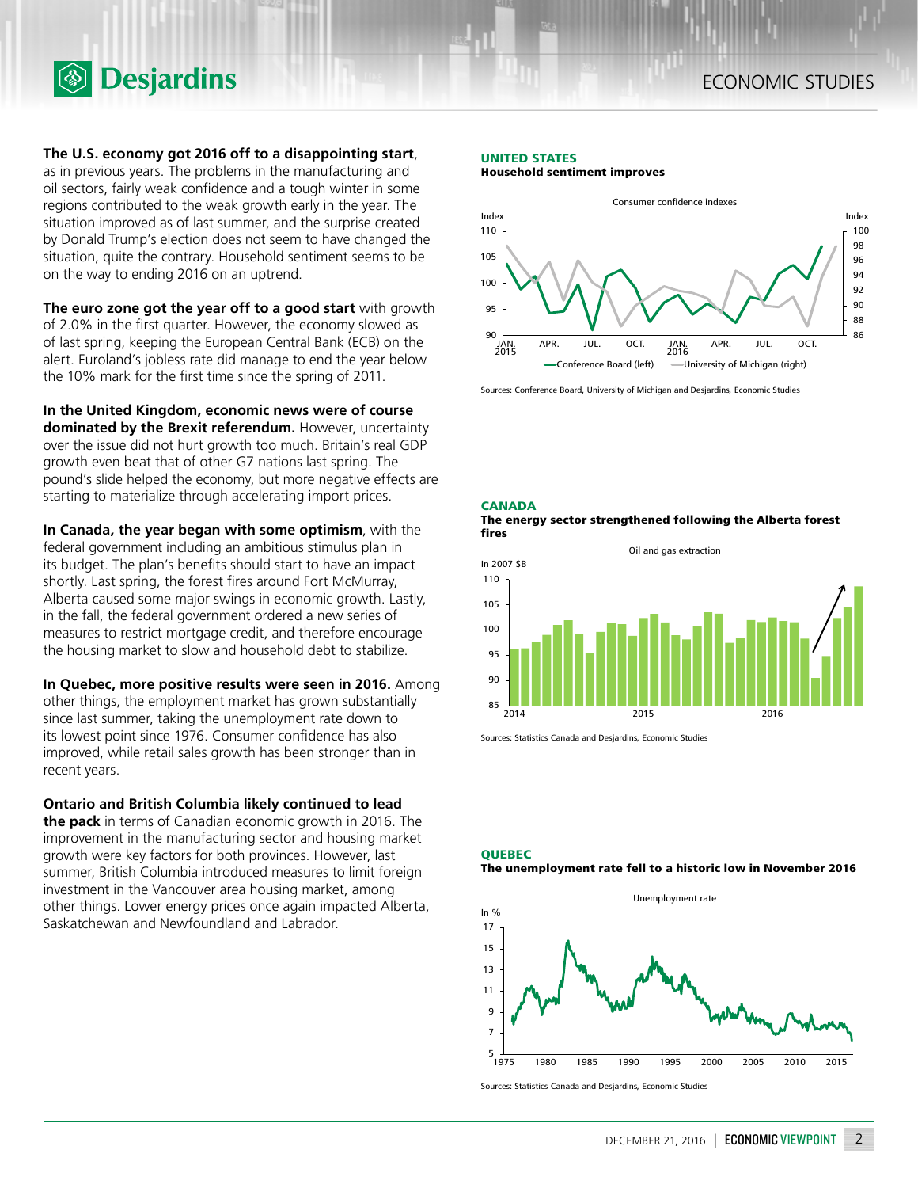## **The U.S. economy got 2016 off to a disappointing start**,

**Desjardins** 

as in previous years. The problems in the manufacturing and oil sectors, fairly weak confidence and a tough winter in some regions contributed to the weak growth early in the year. The situation improved as of last summer, and the surprise created by Donald Trump's election does not seem to have changed the situation, quite the contrary. Household sentiment seems to be on the way to ending 2016 on an uptrend.

**The euro zone got the year off to a good start** with growth of 2.0% in the first quarter. However, the economy slowed as of last spring, keeping the European Central Bank (ECB) on the alert. Euroland's jobless rate did manage to end the year below the 10% mark for the first time since the spring of 2011.

**In the United Kingdom, economic news were of course dominated by the Brexit referendum.** However, uncertainty over the issue did not hurt growth too much. Britain's real GDP growth even beat that of other G7 nations last spring. The pound's slide helped the economy, but more negative effects are starting to materialize through accelerating import prices.

**In Canada, the year began with some optimism**, with the federal government including an ambitious stimulus plan in its budget. The plan's benefits should start to have an impact shortly. Last spring, the forest fires around Fort McMurray, Alberta caused some major swings in economic growth. Lastly, in the fall, the federal government ordered a new series of measures to restrict mortgage credit, and therefore encourage the housing market to slow and household debt to stabilize.

### **In Quebec, more positive results were seen in 2016.** Among

other things, the employment market has grown substantially since last summer, taking the unemployment rate down to its lowest point since 1976. Consumer confidence has also improved, while retail sales growth has been stronger than in recent years.

### **Ontario and British Columbia likely continued to lead**

**the pack** in terms of Canadian economic growth in 2016. The improvement in the manufacturing sector and housing market growth were key factors for both provinces. However, last summer, British Columbia introduced measures to limit foreign investment in the Vancouver area housing market, among other things. Lower energy prices once again impacted Alberta, Saskatchewan and Newfoundland and Labrador.

#### **UNITED STATES**

**Household sentiment improves**



Sources: Conference Board, University of Michigan and Desjardins, Economic Studies

**CANADA**



Oil and gas extraction



Sources: Statistics Canada and Desjardins, Economic Studies





Sources: Statistics Canada and Desjardins, Economic Studies